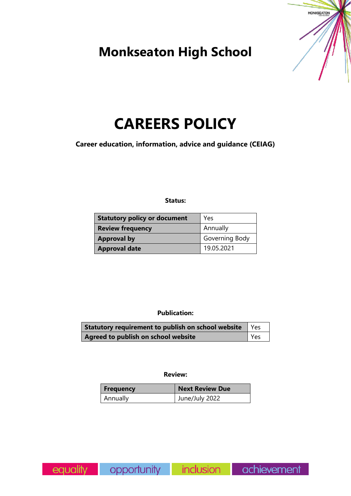## **Monkseaton High School**



# **CAREERS POLICY**

**Career education, information, advice and guidance (CEIAG)**

## **Status:**

| Statutory policy or document | Yes            |  |
|------------------------------|----------------|--|
| <b>Review frequency</b>      | Annually       |  |
| <b>Approval by</b>           | Governing Body |  |
| <b>Approval date</b>         | 19.05.2021     |  |

## **Publication:**

| Statutory requirement to publish on school website   Yes |  |
|----------------------------------------------------------|--|
| Yes<br>Agreed to publish on school website               |  |

#### **Review:**

| <b>Frequency</b> | <b>Next Review Due</b> |
|------------------|------------------------|
| Annually         | June/July 2022         |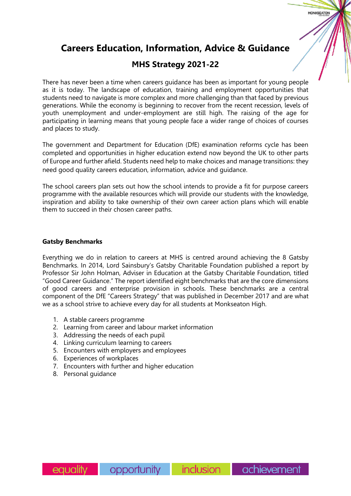## **Careers Education, Information, Advice & Guidance**

## **MHS Strategy 2021-22**

There has never been a time when careers guidance has been as important for young people as it is today. The landscape of education, training and employment opportunities that students need to navigate is more complex and more challenging than that faced by previous generations. While the economy is beginning to recover from the recent recession, levels of youth unemployment and under-employment are still high. The raising of the age for participating in learning means that young people face a wider range of choices of courses and places to study.

The government and Department for Education (DfE) examination reforms cycle has been completed and opportunities in higher education extend now beyond the UK to other parts of Europe and further afield. Students need help to make choices and manage transitions: they need good quality careers education, information, advice and guidance.

The school careers plan sets out how the school intends to provide a fit for purpose careers programme with the available resources which will provide our students with the knowledge, inspiration and ability to take ownership of their own career action plans which will enable them to succeed in their chosen career paths.

## **Gatsby Benchmarks**

Everything we do in relation to careers at MHS is centred around achieving the 8 Gatsby Benchmarks. In 2014, Lord Sainsbury's Gatsby Charitable Foundation published a report by Professor Sir John Holman, Adviser in Education at the Gatsby Charitable Foundation, titled "Good Career Guidance." The report identified eight benchmarks that are the core dimensions of good careers and enterprise provision in schools. These benchmarks are a central component of the DfE "Careers Strategy" that was published in December 2017 and are what we as a school strive to achieve every day for all students at Monkseaton High.

- 1. A stable careers programme
- 2. Learning from career and labour market information
- 3. Addressing the needs of each pupil
- 4. Linking curriculum learning to careers
- 5. Encounters with employers and employees
- 6. Experiences of workplaces
- 7. Encounters with further and higher education
- 8. Personal guidance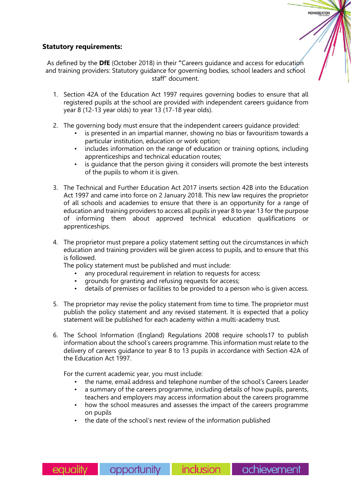## **Statutory requirements:**

As defined by the **DfE** (October 2018) in their **"**Careers guidance and access for education and training providers: Statutory guidance for governing bodies, school leaders and school staff" document.

- 1. Section 42A of the Education Act 1997 requires governing bodies to ensure that all registered pupils at the school are provided with independent careers guidance from year 8 (12-13 year olds) to year 13 (17-18 year olds).
- 2. The governing body must ensure that the independent careers guidance provided:
	- is presented in an impartial manner, showing no bias or favouritism towards a particular institution, education or work option;
	- includes information on the range of education or training options, including apprenticeships and technical education routes;
	- is quidance that the person giving it considers will promote the best interests of the pupils to whom it is given.
- 3. The Technical and Further Education Act 2017 inserts section 42B into the Education Act 1997 and came into force on 2 January 2018. This new law requires the proprietor of all schools and academies to ensure that there is an opportunity for a range of education and training providers to access all pupils in year 8 to year 13 for the purpose of informing them about approved technical education qualifications or apprenticeships.
- 4. The proprietor must prepare a policy statement setting out the circumstances in which education and training providers will be given access to pupils, and to ensure that this is followed.
	- The policy statement must be published and must include:
		- any procedural requirement in relation to requests for access;
		- grounds for granting and refusing requests for access;
		- details of premises or facilities to be provided to a person who is given access.
- 5. The proprietor may revise the policy statement from time to time. The proprietor must publish the policy statement and any revised statement. It is expected that a policy statement will be published for each academy within a multi-academy trust.
- 6. The School Information (England) Regulations 2008 require schools17 to publish information about the school's careers programme. This information must relate to the delivery of careers guidance to year 8 to 13 pupils in accordance with Section 42A of the Education Act 1997.

For the current academic year, you must include:

- the name, email address and telephone number of the school's Careers Leader
- a summary of the careers programme, including details of how pupils, parents, teachers and employers may access information about the careers programme
- how the school measures and assesses the impact of the careers programme on pupils
- the date of the school's next review of the information published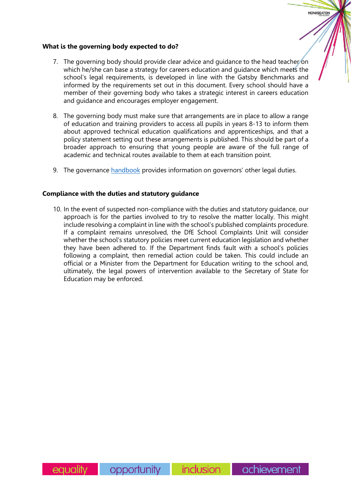#### **What is the governing body expected to do?**

7. The governing body should provide clear advice and guidance to the head teacher on which he/she can base a strategy for careers education and guidance which meets the school's legal requirements, is developed in line with the Gatsby Benchmarks and informed by the requirements set out in this document. Every school should have a member of their governing body who takes a strategic interest in careers education and guidance and encourages employer engagement.

**MONKSEATON** 

- 8. The governing body must make sure that arrangements are in place to allow a range of education and training providers to access all pupils in years 8-13 to inform them about approved technical education qualifications and apprenticeships, and that a policy statement setting out these arrangements is published. This should be part of a broader approach to ensuring that young people are aware of the full range of academic and technical routes available to them at each transition point.
- 9. The governance [handbook](https://assets.publishing.service.gov.uk/government/uploads/system/uploads/attachment_data/file/925104/Governance_Handbook_FINAL.pdf) provides information on governors' other legal duties.

#### **Compliance with the duties and statutory guidance**

10. In the event of suspected non-compliance with the duties and statutory guidance, our approach is for the parties involved to try to resolve the matter locally. This might include resolving a complaint in line with the school's published complaints procedure. If a complaint remains unresolved, the DfE School Complaints Unit will consider whether the school's statutory policies meet current education legislation and whether they have been adhered to. If the Department finds fault with a school's policies following a complaint, then remedial action could be taken. This could include an official or a Minister from the Department for Education writing to the school and, ultimately, the legal powers of intervention available to the Secretary of State for Education may be enforced.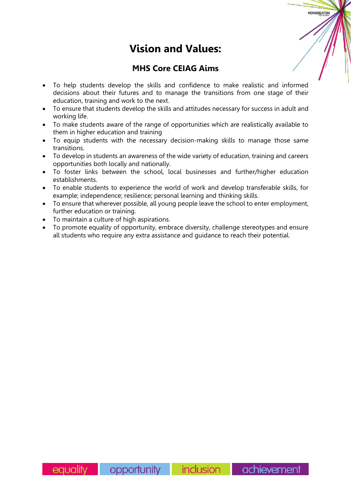## **Vision and Values:**

**MONKSEATOM** 

## **MHS Core CEIAG Aims**

- To help students develop the skills and confidence to make realistic and informed decisions about their futures and to manage the transitions from one stage of their education, training and work to the next.
- To ensure that students develop the skills and attitudes necessary for success in adult and working life.
- To make students aware of the range of opportunities which are realistically available to them in higher education and training
- To equip students with the necessary decision-making skills to manage those same transitions.
- To develop in students an awareness of the wide variety of education, training and careers opportunities both locally and nationally.
- To foster links between the school, local businesses and further/higher education establishments.
- To enable students to experience the world of work and develop transferable skills, for example; independence; resilience; personal learning and thinking skills.
- To ensure that wherever possible, all young people leave the school to enter employment, further education or training.
- To maintain a culture of high aspirations.
- To promote equality of opportunity, embrace diversity, challenge stereotypes and ensure all students who require any extra assistance and guidance to reach their potential.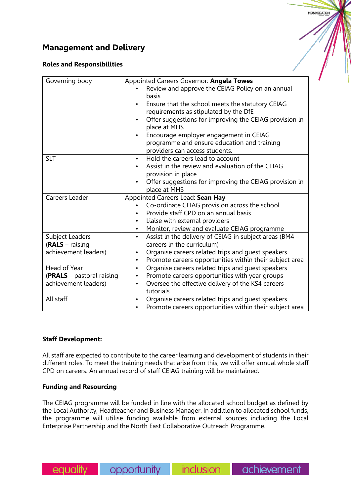## **Management and Delivery**

## **Roles and Responsibilities**

| Governing body            | Appointed Careers Governor: Angela Towes                                                                                  |  |
|---------------------------|---------------------------------------------------------------------------------------------------------------------------|--|
|                           | Review and approve the CEIAG Policy on an annual                                                                          |  |
|                           | basis                                                                                                                     |  |
|                           | Ensure that the school meets the statutory CEIAG                                                                          |  |
|                           | requirements as stipulated by the DfE                                                                                     |  |
|                           | Offer suggestions for improving the CEIAG provision in                                                                    |  |
|                           | place at MHS                                                                                                              |  |
|                           | Encourage employer engagement in CEIAG                                                                                    |  |
|                           | programme and ensure education and training                                                                               |  |
|                           | providers can access students.                                                                                            |  |
| <b>SLT</b>                | Hold the careers lead to account<br>$\bullet$                                                                             |  |
|                           | Assist in the review and evaluation of the CEIAG                                                                          |  |
|                           | provision in place                                                                                                        |  |
|                           | Offer suggestions for improving the CEIAG provision in                                                                    |  |
|                           | place at MHS                                                                                                              |  |
| Careers Leader            | Appointed Careers Lead: Sean Hay                                                                                          |  |
|                           | Co-ordinate CEIAG provision across the school                                                                             |  |
|                           | Provide staff CPD on an annual basis                                                                                      |  |
|                           | Liaise with external providers<br>$\bullet$                                                                               |  |
|                           | Monitor, review and evaluate CEIAG programme<br>$\bullet$                                                                 |  |
| Subject Leaders           | Assist in the delivery of CEIAG in subject areas (BM4 -<br>$\bullet$                                                      |  |
| $(RALS - raising)$        | careers in the curriculum)                                                                                                |  |
| achievement leaders)      | Organise careers related trips and guest speakers<br>٠                                                                    |  |
|                           | Promote careers opportunities within their subject area<br>$\bullet$                                                      |  |
| Head of Year              | Organise careers related trips and guest speakers<br>$\bullet$                                                            |  |
| (PRALS - pastoral raising | Promote careers opportunities with year groups                                                                            |  |
| achievement leaders)      | Oversee the effective delivery of the KS4 careers<br>٠                                                                    |  |
|                           | tutorials                                                                                                                 |  |
|                           |                                                                                                                           |  |
| All staff                 | Organise careers related trips and guest speakers<br>$\bullet$<br>Promote careers opportunities within their subject area |  |

#### **Staff Development:**

All staff are expected to contribute to the career learning and development of students in their different roles. To meet the training needs that arise from this, we will offer annual whole staff CPD on careers. An annual record of staff CEIAG training will be maintained.

## **Funding and Resourcing**

The CEIAG programme will be funded in line with the allocated school budget as defined by the Local Authority, Headteacher and Business Manager. In addition to allocated school funds, the programme will utilise funding available from external sources including the Local Enterprise Partnership and the North East Collaborative Outreach Programme.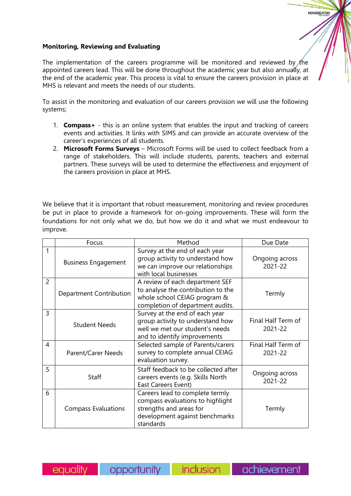## **Monitoring, Reviewing and Evaluating**

The implementation of the careers programme will be monitored and reviewed by the appointed careers lead. This will be done throughout the academic year but also annually, at the end of the academic year. This process is vital to ensure the careers provision in place at MHS is relevant and meets the needs of our students.

To assist in the monitoring and evaluation of our careers provision we will use the following systems;

- 1. **Compass+** this is an online system that enables the input and tracking of careers events and activities. It links with SIMS and can provide an accurate overview of the career's experiences of all students.
- 2. **Microsoft Forms Surveys** Microsoft Forms will be used to collect feedback from a range of stakeholders. This will include students, parents, teachers and external partners. These surveys will be used to determine the effectiveness and enjoyment of the careers provision in place at MHS.

We believe that it is important that robust measurement, monitoring and review procedures be put in place to provide a framework for on-going improvements. These will form the foundations for not only what we do, but how we do it and what we must endeavour to improve.

|                | Focus                      | Method                                                                                                                                        | Due Date                      |
|----------------|----------------------------|-----------------------------------------------------------------------------------------------------------------------------------------------|-------------------------------|
|                | <b>Business Engagement</b> | Survey at the end of each year<br>group activity to understand how<br>we can improve our relationships<br>with local businesses               | Ongoing across<br>2021-22     |
| $\overline{2}$ | Department Contribution    | A review of each department SEF<br>to analyse the contribution to the<br>whole school CEIAG program &<br>completion of department audits.     | Termly                        |
| 3              | <b>Student Needs</b>       | Survey at the end of each year<br>group activity to understand how<br>well we met our student's needs<br>and to identify improvements         | Final Half Term of<br>2021-22 |
| 4              | <b>Parent/Carer Needs</b>  | Selected sample of Parents/carers<br>survey to complete annual CEIAG<br>evaluation survey.                                                    | Final Half Term of<br>2021-22 |
| 5              | <b>Staff</b>               | Staff feedback to be collected after<br>careers events (e.g. Skills North<br><b>East Careers Event)</b>                                       | Ongoing across<br>2021-22     |
| 6              | <b>Compass Evaluations</b> | Careers lead to complete termly<br>compass evaluations to highlight<br>strengths and areas for<br>development against benchmarks<br>standards | Termly                        |

eauality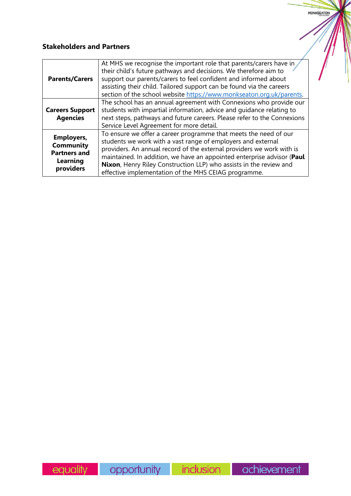## **Stakeholders and Partners**

| <b>Parents/Carers</b>                                                                 | At MHS we recognise the important role that parents/carers have in<br>their child's future pathways and decisions. We therefore aim to<br>support our parents/carers to feel confident and informed about<br>assisting their child. Tailored support can be found via the careers<br>section of the school website https://www.monkseaton.org.uk/parents.                                                         |
|---------------------------------------------------------------------------------------|-------------------------------------------------------------------------------------------------------------------------------------------------------------------------------------------------------------------------------------------------------------------------------------------------------------------------------------------------------------------------------------------------------------------|
| <b>Careers Support</b><br><b>Agencies</b>                                             | The school has an annual agreement with Connexions who provide our<br>students with impartial information, advice and guidance relating to<br>next steps, pathways and future careers. Please refer to the Connexions<br>Service Level Agreement for more detail.                                                                                                                                                 |
| <b>Employers,</b><br><b>Community</b><br><b>Partners and</b><br>Learning<br>providers | To ensure we offer a career programme that meets the need of our<br>students we work with a vast range of employers and external<br>providers. An annual record of the external providers we work with is<br>maintained. In addition, we have an appointed enterprise advisor (Paul<br>Nixon, Henry Riley Construction LLP) who assists in the review and<br>effective implementation of the MHS CEIAG programme. |

MONKSEATON

 $\eta$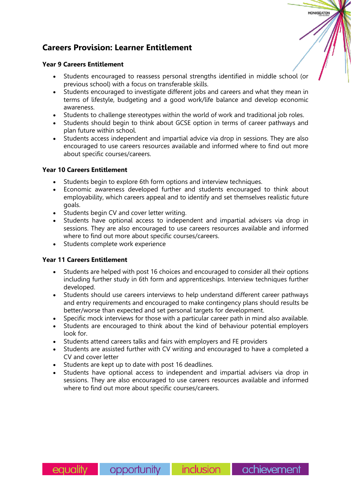## **Careers Provision: Learner Entitlement**

## **Year 9 Careers Entitlement**

- Students encouraged to reassess personal strengths identified in middle school (or previous school) with a focus on transferable skills.
- Students encouraged to investigate different jobs and careers and what they mean in terms of lifestyle, budgeting and a good work/life balance and develop economic awareness.
- Students to challenge stereotypes within the world of work and traditional job roles.
- Students should begin to think about GCSE option in terms of career pathways and plan future within school.
- Students access independent and impartial advice via drop in sessions. They are also encouraged to use careers resources available and informed where to find out more about specific courses/careers.

## **Year 10 Careers Entitlement**

- Students begin to explore 6th form options and interview techniques.
- Economic awareness developed further and students encouraged to think about employability, which careers appeal and to identify and set themselves realistic future goals.
- Students begin CV and cover letter writing.
- Students have optional access to independent and impartial advisers via drop in sessions. They are also encouraged to use careers resources available and informed where to find out more about specific courses/careers.
- Students complete work experience

## **Year 11 Careers Entitlement**

- Students are helped with post 16 choices and encouraged to consider all their options including further study in 6th form and apprenticeships. Interview techniques further developed.
- Students should use careers interviews to help understand different career pathways and entry requirements and encouraged to make contingency plans should results be better/worse than expected and set personal targets for development.
- Specific mock interviews for those with a particular career path in mind also available.
- Students are encouraged to think about the kind of behaviour potential employers look for.
- Students attend careers talks and fairs with employers and FE providers
- Students are assisted further with CV writing and encouraged to have a completed a CV and cover letter
- Students are kept up to date with post 16 deadlines.
- Students have optional access to independent and impartial advisers via drop in sessions. They are also encouraged to use careers resources available and informed where to find out more about specific courses/careers.